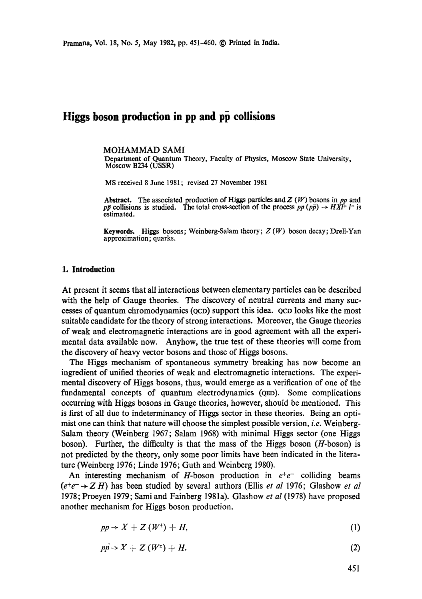# **Higgs boson production in pp and pp collisions**

#### MOHAMMAD SAMI

Department of Quantum Theory, Faculty of Physics, Moscow State University, Moscow B234 (USSR)

MS received 8 June 1981; revised 27 November 1981

**Abstract.** The associated production of Higgs particles and Z (W) bosom in *pp* and *pp* collisions is studied. The total cross-section of the process  $pp (p\bar{p}) \rightarrow H\bar{X}l^+ l^-$  is estimated.

**Keywords.** Higgs bosom; Weinberg-Salam theory; Z (W) boson decay; Drelt-Yan approximation; quarks.

## **1. Introduction**

At present it seems that all interactions between elementary particles can be described with the help of Gauge theories. The discovery of neutral currents and many successes of quantum chromodynamics (QCD) support this idea. QCD looks like the most suitable candidate for the theory of strong interactions. Moreover, the Gauge theories of weak and electromagnetic interactions are in good agreement with all the experimental data available now. Anyhow, the true test of these theories will come from the discovery of heavy vector bosons and those of Higgs bosons.

The Higgs mechanism of spontaneous symmetry breaking has now become an ingredient of unified theories of weak and electromagnetic interactions. The experimental discovery of Higgs bosons, thus, would emerge as a verification of one of the fundamental concepts of quantum electrodynamics (QED). Some complications occurring with Higgs bosons in Gauge theories, however, should be mentioned. This is first of all due to indeterminancy of Higgs sector in these theories. Being an optimist one can think that nature will choose the simplest possible version, *i.e.* Weinberg-Salam theory (Weinberg 1967; Salam 1968) with minimal Higgs sector (one Higgs boson). Further, the difficulty is that the mass of the Higgs boson (H-boson) is not predicted by the theory, only some poor limits have been indicated in the literature (Weinberg 1976; Linde 1976; Guth and Weinberg 1980).

An interesting mechanism of H-boson production in  $e^+e^-$  colliding beams  $(e^+e^- \rightarrow Z H)$  has been studied by several authors (Ellis *et al* 1976; Glashow *et al* 1978; Proeyen 1979; Sami and Fainberg 1981a). Glashow *et al* (1978) have proposed another mechanism for Higgs boson production.

$$
pp \to X + Z(W^{\pm}) + H, \tag{1}
$$

 $p\bar{p} \to X + Z(W^{\pm}) + H.$  (2)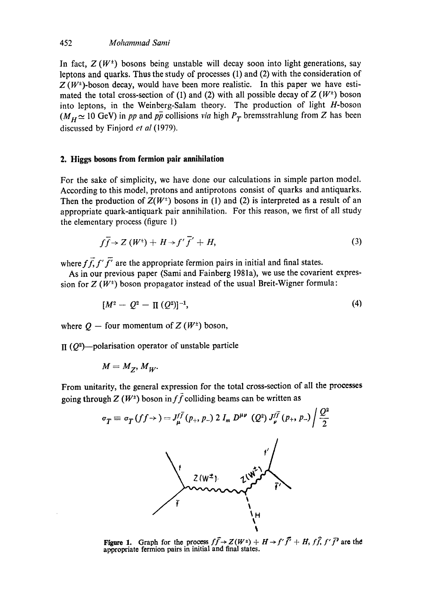## 452 *Mohammad Sami*

In fact,  $Z(W^{\dagger})$  bosons being unstable will decay soon into light generations, say leptons and quarks. Thus the study of processes (1) and (2) with the consideration of  $Z(W^{\pm})$ -boson decay, would have been more realistic. In this paper we have estimated the total cross-section of (1) and (2) with all possible decay of  $Z(W^+)$  boson into leptons, in the Weinberg-Salam theory. The production of light H-boson  $(M_H \simeq 10 \text{ GeV})$  in *pp* and  $p\bar{p}$  collisions *via* high  $P_T$  bremsstrahlung from Z has been discussed by Finjord *et al* (1979).

# **2. Higgs bosons from fermion pair annihilation**

For the sake of simplicity, we have done our calculations in simple parton model. According to this model, protons and antiprotons consist of quarks and antiquarks. Then the production of  $Z(W^{\perp})$  bosons in (1) and (2) is interpreted as a result of an appropriate quark-antiquark pair annihilation. For this reason, we first of all study the elementary process (figure 1)

$$
f\overline{f} \to Z(W^+) + H \to f'\overline{f}' + H,
$$
 (3)

where  $f\overline{f}, f'\overline{f'}$  are the appropriate fermion pairs in initial and final states.

As in our previous paper (Sami and Fainberg 1981a), we use the covarient expression for  $Z(W^{\dagger})$  boson propagator instead of the usual Breit-Wigner formula:

$$
[M^2 - Q^2 - \Pi (Q^2)]^{-1}, \tag{4}
$$

where  $Q$  – four momentum of Z ( $W^{\pm}$ ) boson,

 $\prod (Q^2)$ --polarisation operator of unstable particle

$$
M=M_Z, M_W.
$$

From unitarity, the general expression for the total cross-section of all the processes going through  $Z(W^{\pm})$  boson in  $f\bar{f}$  colliding beams can be written as



**Figure 1.** Graph for the process  $f\vec{f} \rightarrow Z(W^{\pm}) + H \rightarrow f'\vec{f}' + H$ ,  $f\vec{f}$ ,  $f'\vec{f}'$  are the **appropriate fermion pairs in initial and final states.**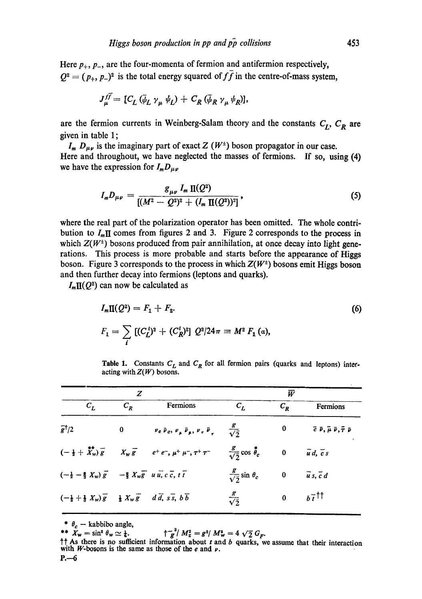Here  $p_+$ ,  $p_-$ , are the four-momenta of fermion and antifermion respectively,  $Q^2 = (p_+, p_-)^2$  is the total energy squared of  $f\bar{f}$  in the centre-of-mass system,

$$
J_{\mu}^{f\bar{f}} = [C_L(\bar{\psi}_L \gamma_{\mu} \psi_L) + C_R(\bar{\psi}_R \gamma_{\mu} \psi_R)],
$$

are the fermion currents in Weinberg-Salam theory and the constants  $C_L$ ,  $C_R$  are given in table 1 ;

 $I_m D_{\mu\nu}$  is the imaginary part of exact Z (W<sup>+</sup>) boson propagator in our case. Here and throughout, we have neglected the masses of fermions. If so, using (4) we have the expression for  $I_m D_{\mu\nu}$ 

$$
I_m D_{\mu\nu} = \frac{g_{\mu\nu} I_m \, \Pi(Q^2)}{[(M^2 - Q^2)^2 + (I_m \, \Pi(Q^2))^2]}, \qquad (5)
$$

where the real part of the polarization operator has been omitted. The whole contribution to  $I_m \Pi$  comes from figures 2 and 3. Figure 2 corresponds to the process in which  $Z(W^{\dagger})$  bosons produced from pair annihilation, at once decay into light generations. This process is more probable and starts before the appearance of Higgs boson. Figure 3 corresponds to the process in which *Z(W ±)* bosons emit Higgs boson and then further decay into fermions (leptons and quarks).

 $I_m \Pi(Q^2)$  can now be calculated as

$$
I_m \Pi(Q^2) = F_1 + F_2.
$$
\n
$$
F_1 = \sum_i \left[ (C_L^i)^2 + (C_R^i)^2 \right] Q^2 / 24\pi = M^2 \ F_1(a),
$$
\n(6)

Table 1. Constants  $C_L$  and  $C_R$  for all fermion pairs (quarks and leptons) interacting with  $Z(W)$  bosons.

| z                                                                                                                                                |          |                                                                                                                             | $\overline{W}$                    |              |                                                                      |
|--------------------------------------------------------------------------------------------------------------------------------------------------|----------|-----------------------------------------------------------------------------------------------------------------------------|-----------------------------------|--------------|----------------------------------------------------------------------|
| $c_{L}$                                                                                                                                          | $C_{R}$  | Fermions                                                                                                                    | $C_L$                             | $C_R$        | Fermions                                                             |
| $\bar{g}^{\dagger}/2$                                                                                                                            | $\bf{0}$ | $v_e \bar{v}_e, v_\mu \bar{v}_\mu, v_\tau \bar{v}_\tau = \frac{g}{\sqrt{2}}$                                                |                                   | $\mathbf{0}$ | $\vec{e}$ $\vec{v}$ , $\vec{\mu}$ $\vec{v}$ , $\vec{\tau}$ $\vec{v}$ |
|                                                                                                                                                  |          | $(-\frac{1}{2} + \overline{X}_{w}^{*}) \overline{g}$ $X_{w} \overline{g}$ $e^{+} e^{-}, \mu^{+} \mu^{-}, \tau^{+} \tau^{-}$ | $\frac{g}{\sqrt{2}}\cos\phi_c$ 0  |              | $\overline{u}$ d, $\overline{c}$ s                                   |
| $\left(-\frac{1}{2}-\frac{1}{3} X_w\right) \overline{g}$ $-\frac{2}{3} X_w \overline{g}$ $u \overline{u}, c \overline{c}, t \overline{t}$        |          |                                                                                                                             | $rac{g}{\sqrt{2}}\sin \theta_c$ 0 |              | $\overline{u} s, \overline{c} d$                                     |
| $\left(-\frac{1}{2} + \frac{1}{3} X_w\right) \overline{g}$ $\frac{1}{3} X_w \overline{g}$ $d \overline{d}$ , $s \overline{s}$ , $b \overline{b}$ |          |                                                                                                                             | $rac{g}{\sqrt{2}}$                | $\bf{0}$     | $b\bar{t}^{\dagger}$                                                 |

\*  $\theta_c$  - **kabbibo angle**,<br>\*\*  $X_w = \sin^2 \theta_w \simeq \frac{1}{4}$ .

 $\frac{1}{\pi} \int_{g}^{z} M_{z}^{2} = g^{2} / M_{w}^{2} = 4 \sqrt{2} G_{F}$ .

**tt As there is no sufficient information about t and b quarks, we assume that their interaction**  with *W*-bosons is the same as those of the  $e$  and  $\nu$ .  $P - 6$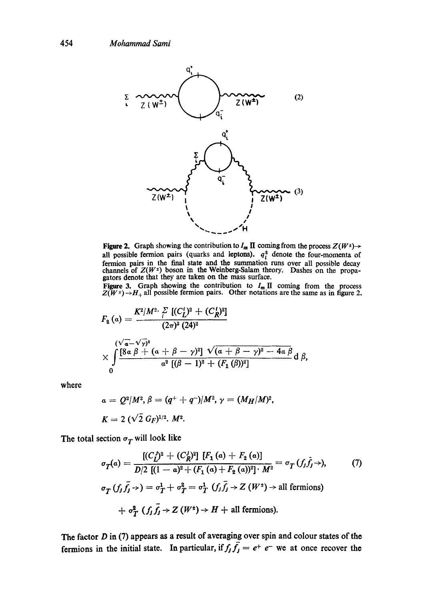

Figure 2. Graph showing the contribution to  $I_m \Pi$  coming from the process  $Z(W^{\pm}) \rightarrow$ all possible fermion pairs (quarks and leptons).  $q_i^2$  denote the four-momenta of fermion pairs in the final state and the summation runs over all possible decay channels of  $Z(W^{\pm})$  boson in the Weinberg-Salam theory. Dashes on the propa-<br>gators denote that they are taken on the mass surface.

Figure 3. Graph showing the contribution to  $I_m \Pi$  coming from the process  $Z(W^{\pm})\rightarrow H_{\pm}$  all possible fermion pairs. Other notations are the same as in figure 2.

$$
F_2(\alpha) = \frac{K^2/M^2 \cdot \sum \left[ (C_L^i)^2 + (C_R^i)^2 \right]}{(2\pi)^3 (24)^2}
$$
  
\$\times \int \frac{(\sqrt{a}-\sqrt{\gamma})^2}{8\alpha \beta + (a+\beta-\gamma)^2} \frac{\sqrt{(a+\beta-\gamma)^2 - 4a \beta}}{\alpha^2 \left[ (\beta-1)^2 + (F\_1(\beta))^2 \right]} d\beta\$,

where

$$
a = Q^2/M^2, \beta = (q^+ + q^-)/M^2, \gamma = (M_H/M)^2,
$$
  

$$
K = 2 (\sqrt{2} G_F)^{1/2}, M^2.
$$

The total section  $\sigma_T$  will look like

$$
\sigma_T(\alpha) = \frac{[(C'_f)^2 + (C'_R)^2] [F_1(\alpha) + F_2(\alpha)]}{D/2 [(1 - \alpha)^2 + (F_1(\alpha) + F_2(\alpha))^2] \cdot M^2} = \sigma_T(f_j \hat{f}_j \rightarrow), \qquad (7)
$$
  

$$
\sigma_T(f_j \hat{f}_j \rightarrow) = \sigma_T^1 + \sigma_T^2 = \sigma_T^1(f_j \hat{f}_j \rightarrow Z(W^+) \rightarrow \text{all fermions})
$$
  

$$
+ \sigma_T^2(f_j \hat{f}_j \rightarrow Z(W^+) \rightarrow H + \text{all fermions}).
$$

The factor  $D$  in (7) appears as a result of averaging over spin and colour states of the fermions in the initial state. In particular, if  $f_j \overline{f_j} = e^+ e^-$  we at once recover the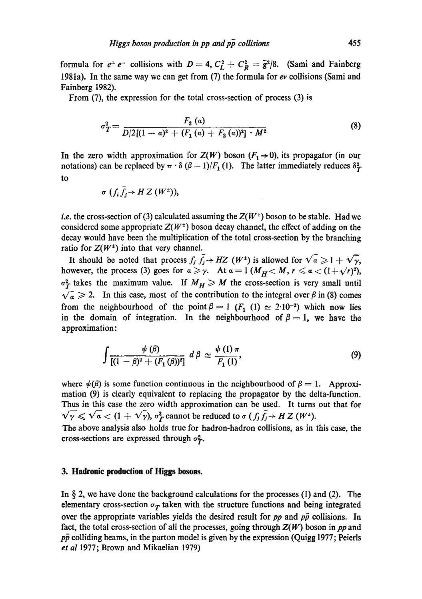formula for  $e^+e^-$  collisions with  $D=4$ ,  $C_L^2 + C_R^2 = \bar{g}^2/8$ . (Sami and Fainberg 1981a). In the same way we can get from  $(7)$  the formula for ev collisions (Sami and Fainberg 1982).

From (7), the expression for the total cross-section of process (3) is

$$
\sigma_T^2 = \frac{F_2(a)}{D/2[(1-a)^2 + (F_1(a) + F_2(a))^2] \cdot M^2}
$$
\n(8)

In the zero width approximation for  $Z(W)$  boson  $(F_1 \rightarrow 0)$ , its propagator (in our notations) can be replaced by  $\pi \cdot \delta (\beta - 1)/F_1 (1)$ . The latter immediately reduces  $\delta^2_T$ . to

$$
\sigma\,\left(f_i\,f_j\rightleftharpoons H\,Z\left(W^{\pm}\right)\right),
$$

*i.e.* the cross-section of (3) calculated assuming the  $Z(W^{\dagger})$  boson to be stable. Had we considered some appropriate  $Z(W^{\dagger})$  boson decay channel, the effect of adding on the decay would have been the multiplication of the total cross-section by the branching ratio for  $Z(W^{\pm})$  into that very channel.

It should be noted that process  $f_j \bar{f}_j \rightarrow HZ$  ( $W^{\pm}$ ) is allowed for  $\sqrt{a} \geq 1 + \sqrt{\gamma}$ , however, the process (3) goes for  $a \geq \gamma$ . At  $a = 1$  ( $M_H < M$ ,  $r \leq a < (1 + \sqrt{r})^2$ ),  $\sigma_T^2$  takes the maximum value. If  $M_H \ge M$  the cross-section is very small until  $\sqrt{a} \ge 2$ . In this case, most of the contribution to the integral over  $\beta$  in (8) comes from the neighbourhood of the point  $\beta = 1$  ( $F_1$  (1)  $\simeq 2 \cdot 10^{-2}$ ) which now lies in the domain of integration. In the neighbourhood of  $\beta = 1$ , we have the approximation:

$$
\int \frac{\psi(\beta)}{[(1-\beta)^2 + (F_1(\beta))^2]} d\beta \simeq \frac{\psi(1)\pi}{F_1(1)},
$$
\n(9)

where  $\psi(\beta)$  is some function continuous in the neighbourhood of  $\beta = 1$ . Approximation (9) is clearly equivalent to replacing the propagator by the delta-function. Thus in this case the zero width approximation can be used. It turns out that for  $\sqrt{\gamma} \leqslant \sqrt{a} < (1 + \sqrt{\gamma})$ ,  $\sigma_F^2$  cannot be reduced to  $\sigma(f_j \bar{f_j} \to HZ(W^+))$ .

The above analysis also holds true for hadron-hadron collisions, as in this case, the cross-sections are expressed through  $\sigma_T^2$ .

#### **3. Hadronie production of Higgs bosons.**

In  $\S$  2, we have done the background calculations for the processes (1) and (2). The elementary cross-section  $\sigma_T$  taken with the structure functions and being integrated over the appropriate variables yields the desired result for  $pp$  and  $p\bar{p}$  collisions. In fact, the total cross-section of all the processes, going through Z(W) boson in *pp* and  $p\bar{p}$  colliding beams, in the parton model is given by the expression (Quigg 1977; Peierls *et al* 1977; Brown and Mikaelian 1979)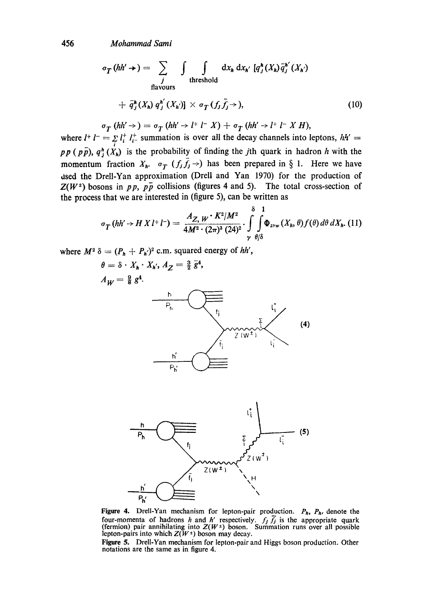456 *Mohammad Sami* 

$$
\sigma_T(hh' \rightarrow) = \sum_j \int \int \int \text{d}x_h \, \text{d}x_{h'} \, [q_j^h(X_h) \bar{q}_j^{h'}(X_h)
$$
  
the should  

$$
+ \bar{q}_j^h(X_h) q_j^{h'}(X_{h'})] \times \sigma_T(f_j \bar{f}_j \rightarrow), \qquad (10)
$$

$$
\sigma_T(hh' \rightarrow) = \sigma_T(hh' \rightarrow l^+l^- X) + \sigma_T(hh' \rightarrow l^+l^- X H),
$$

where  $l^+ l^- = \sum_i l_i^+ l_i^+$  summation is over all the decay channels into leptons,  $hh' =$  $pp$  (pp),  $q_j^h$  ( $X_h$ ) is the probability of finding the *j*th quark in hadron h with the momentum fraction  $X_h$ .  $\sigma_T$   $(f_j \bar{f}_j \rightarrow)$  has been prepared in § 1. Here we have dsed the Drell-Yan approximation (Drell and Yan 1970) for the production of  $Z(W^{\dagger})$  bosons in *pp*,  $p\bar{p}$  collisions (figures 4 and 5). The total cross-section of the process that we are interested in (figure 5), can be written as

$$
\sigma_{T} \left( hh' \rightarrow H \, X \, l^{+} \, l^{-} \right) = \frac{A_{Z, W} \cdot K^{2}/M^{2}}{4M^{2} \cdot (2\pi)^{3} (24)^{2}} \cdot \int\limits_{\gamma}^{8} \int\limits_{\theta/\delta}^{1} \Phi_{z,w} \left( X_{h}, \theta \right) f(\theta) \, d\theta \, dX_{h}. \tag{11}
$$

where  $M^2 \delta = (P_h + P_h)^2$  c.m. squared energy of hh',

 $P_{h}$ 

 $\theta = \delta \cdot X_h \cdot X_{h'}, A_Z = \frac{3}{2} \overline{g}^4,$  $A_W = \frac{9}{8} g^4$ . *h*  fi  $^{11}$  . Limit  $^{11}$  ,  $^{11}$ (4)  $Z(W^{\pm})$ *h t P~*   $\overline{P}$  (5)  $Z(w^2)$  $Z(W^{\pm})$  $\mathbf{r}^{\prime}$ 

Figure 4. Drell-Yan mechanism for lepton-pair production.  $P_h$ ,  $P_h$ , denote the four-momenta of hadrons h and h' respectively.  $f_i f_j$  is the appropriate quark (fermion) pair annihilating into  $Z(W^{\pm})$  boson. Summation runs over all possible lepton-pairs into which  $Z(W^{\pm})$  boson may decay.

Figure 5. Drell-Yan mechanism for lepton-pair and Higgs boson production. Other notations are the same as in figure 4.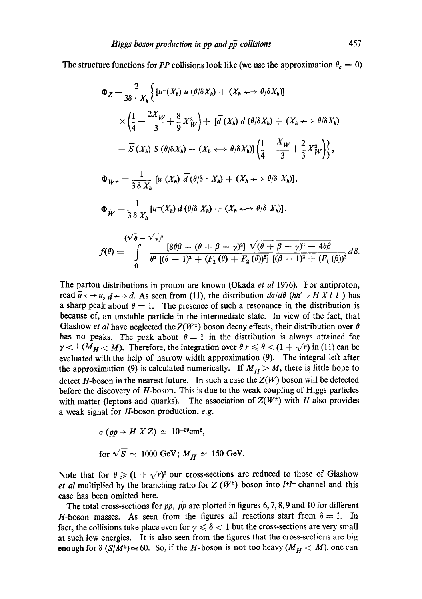The structure functions for *PP* collisions look like (we use the approximation  $\theta_c = 0$ )

$$
\Phi_Z = \frac{2}{3\delta \cdot X_h} \Big\{ \left[ u^-(X_h) \ u \ (\theta/\delta X_h) + (X_h \leftrightarrow \theta/\delta X_h) \right] \times \Big\{ \frac{1}{4} - \frac{2X_W}{3} + \frac{8}{9} X_W^2 \Big\} + \left[ \overline{d} \ (X_h) \ d \ (\theta/\delta X_h) + (X_h \leftrightarrow \theta/\delta X_h) \right] \times \overline{S} \ (X_h) \ S \ (\theta/\delta X_h) + (X_h \leftrightarrow \theta/\delta X_h) \Big\{ \frac{1}{4} - \frac{X_W}{3} + \frac{2}{3} X_W^2 \Big\} \Big\},
$$
\n
$$
\Phi_{W^+} = \frac{1}{3\delta X_h} \left[ u \ (X_h) \ \overline{d} \ (\theta/\delta \cdot X_h) + (X_h \leftrightarrow \theta/\delta X_h) \right],
$$
\n
$$
\Phi_{\overline{W}} = \frac{1}{3\delta X_h} \left[ u^-(X_h) \ d \ (\theta/\delta X_h) + (X_h \leftrightarrow \theta/\delta X_h) \right],
$$
\n
$$
\frac{(\sqrt{\theta} - \sqrt{\gamma})^2}{3\delta X_h} \ (X_h \ \xi \to \theta/\delta X_h) + (X_h \leftrightarrow \theta/\delta X_h) \Big\},
$$
\n
$$
f(\theta) = \int_0^{\frac{\pi}{2}} \frac{\left[ 8\theta\beta + (\theta + \beta - \gamma)^2 \right] \ \sqrt{(\theta + \beta - \gamma)^2 - 4\theta\beta}}{\theta^2 \left[ (\theta - 1)^2 + (F_1(\theta) + F_2(\theta))^2 \right] \left[ (\beta - 1)^2 + (F_1(\theta))^2 \right]} \ d\beta.
$$

The parton distributions in proton are known (Okada *et al* 1976). For antiproton, read  $\overline{u} \leftrightarrow u$ ,  $\overline{d} \leftrightarrow d$ . As seen from (11), the distribution  $d\sigma/d\theta$  (hh'  $\rightarrow$  H X l+l<sup>-</sup>) has a sharp peak about  $\theta = 1$ . The presence of such a resonance in the distribution is because of, an unstable particle in the intermediate state. In view of the fact, that Glashow *et al* have neglected the  $Z(W^{\dagger})$  boson decay effects, their distribution over  $\theta$ has no peaks. The peak about  $\theta = 1$  in the distribution is always attained for  $\gamma < 1$  ( $M_H < M$ ). Therefore, the integration over  $\theta r \le \theta < (1 + \sqrt{r})$  in (11) can be evaluated with the help of narrow width approximation (9). The integral left after the approximation (9) is calculated numerically. If  $M_H > M$ , there is little hope to detect  $H$ -boson in the nearest future. In such a case the  $Z(W)$  boson will be detected before the discovery of H-boson. This is due to the weak coupling of Higgs particles with matter (leptons and quarks). The association of  $Z(W^{\pm})$  with H also provides a weak signal for H-boson production, *e.g.* 

$$
\sigma (pp \to H X Z) \simeq 10^{-39} \text{cm}^2,
$$
  
for  $\sqrt{S} \simeq 1000 \text{ GeV}; M_H \simeq 150 \text{ GeV}.$ 

Note that for  $\theta \geq (1 + \sqrt{r})^2$  our cross-sections are reduced to those of Glashow *et al* multiplied by the branching ratio for  $Z(W^{\pm})$  boson into  $l^{+}l^{-}$  channel and this case has been omitted here.

The total cross-sections for *pp, pp* are plotted in figures 6, 7, 8, 9 and 10 for different H-boson masses. As seen from the figures all reactions start from  $\delta = 1$ . In fact, the collisions take place even for  $\gamma \leq \delta$  < 1 but the cross-sections are very small at such low energies. It is also seen from the figures that the cross-sections are big enough for  $\delta(S/M^2) \approx 60$ . So, if the *H*-boson is not too heavy  $(M_H < M)$ , one can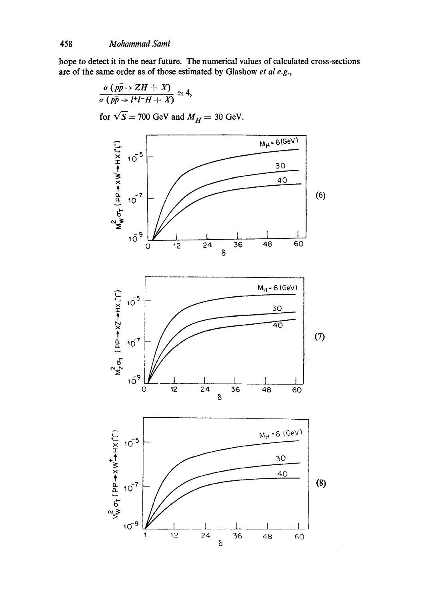hope to detect it in the near future. The numerical values of calculated cross-sections are of the same order as of those estimated by Glashow *et al e.g.,* 

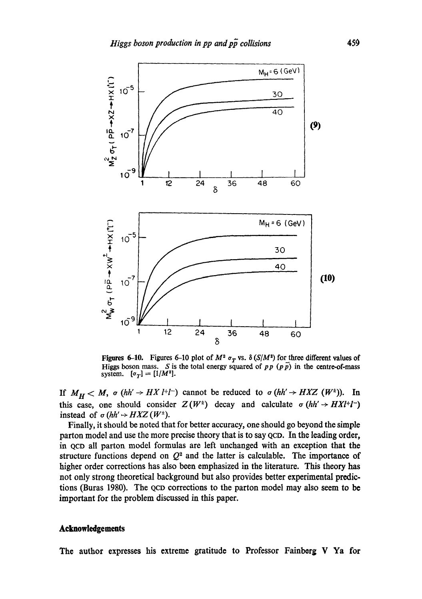

**Figures 6-10.** Figures 6-10 plot of  $M^2 \sigma_T$  vs.  $\delta(S/M^2)$  for three different values of **Higgs boson mass.** S is the total energy squared of  $pp(p\bar{p})$  in the centre-of-mass system.  $[\sigma_T] = [1/M^2]$ .

If  $M_H < M$ ,  $\sigma$  (hh'  $\rightarrow H X l^{+} l^{-}$ ) cannot be reduced to  $\sigma$  (hh'  $\rightarrow H X Z$  ( $W^{\pm}$ )). In this case, one should consider  $Z(W^{\pm})$  decay and calculate  $\sigma(hh' \rightarrow HXl^{+}l^{-})$ instead of  $\sigma$  (hh'  $\rightarrow HXZ$  ( $W^{\pm}$ ).

Finally, it should be noted that for better accuracy, one should go beyond the simple parton model and use the more precise theory that is to say QCD. In the leading order, in QcD all patton model formulas are left unchanged with an exception that the structure functions depend on  $Q^2$  and the latter is calculable. The importance of higher order corrections has also been emphasized in the literature. This theory has not only strong theoretical background but also provides better experimental predictions (Buras 1980). The QCD corrections to the parton model may also seem to be important for the problem discussed in this paper.

## **Acknowledgements**

**The author expresses his extreme gratitude to Professor Fainberg V Ya for**